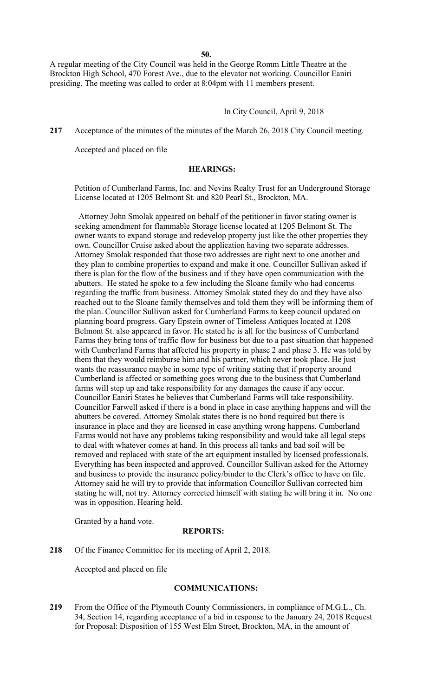**50.** 

A regular meeting of the City Council was held in the George Romm Little Theatre at the Brockton High School, 470 Forest Ave., due to the elevator not working. Councillor Eaniri presiding. The meeting was called to order at 8:04pm with 11 members present.

### In City Council, April 9, 2018

**217** Acceptance of the minutes of the minutes of the March 26, 2018 City Council meeting.

Accepted and placed on file

#### **HEARINGS:**

Petition of Cumberland Farms, Inc. and Nevins Realty Trust for an Underground Storage License located at 1205 Belmont St. and 820 Pearl St., Brockton, MA.

 Attorney John Smolak appeared on behalf of the petitioner in favor stating owner is seeking amendment for flammable Storage license located at 1205 Belmont St. The owner wants to expand storage and redevelop property just like the other properties they own. Councillor Cruise asked about the application having two separate addresses. Attorney Smolak responded that those two addresses are right next to one another and they plan to combine properties to expand and make it one. Councillor Sullivan asked if there is plan for the flow of the business and if they have open communication with the abutters. He stated he spoke to a few including the Sloane family who had concerns regarding the traffic from business. Attorney Smolak stated they do and they have also reached out to the Sloane family themselves and told them they will be informing them of the plan. Councillor Sullivan asked for Cumberland Farms to keep council updated on planning board progress. Gary Epstein owner of Timeless Antiques located at 1208 Belmont St. also appeared in favor. He stated he is all for the business of Cumberland Farms they bring tons of traffic flow for business but due to a past situation that happened with Cumberland Farms that affected his property in phase 2 and phase 3. He was told by them that they would reimburse him and his partner, which never took place. He just wants the reassurance maybe in some type of writing stating that if property around Cumberland is affected or something goes wrong due to the business that Cumberland farms will step up and take responsibility for any damages the cause if any occur. Councillor Eaniri States he believes that Cumberland Farms will take responsibility. Councillor Farwell asked if there is a bond in place in case anything happens and will the abutters be covered. Attorney Smolak states there is no bond required but there is insurance in place and they are licensed in case anything wrong happens. Cumberland Farms would not have any problems taking responsibility and would take all legal steps to deal with whatever comes at hand. In this process all tanks and bad soil will be removed and replaced with state of the art equipment installed by licensed professionals. Everything has been inspected and approved. Councillor Sullivan asked for the Attorney and business to provide the insurance policy/binder to the Clerk's office to have on file. Attorney said he will try to provide that information Councillor Sullivan corrected him stating he will, not try. Attorney corrected himself with stating he will bring it in. No one was in opposition. Hearing held.

Granted by a hand vote.

#### **REPORTS:**

**218** Of the Finance Committee for its meeting of April 2, 2018.

Accepted and placed on file

### **COMMUNICATIONS:**

**219** From the Office of the Plymouth County Commissioners, in compliance of M.G.L., Ch. 34, Section 14, regarding acceptance of a bid in response to the January 24, 2018 Request for Proposal: Disposition of 155 West Elm Street, Brockton, MA, in the amount of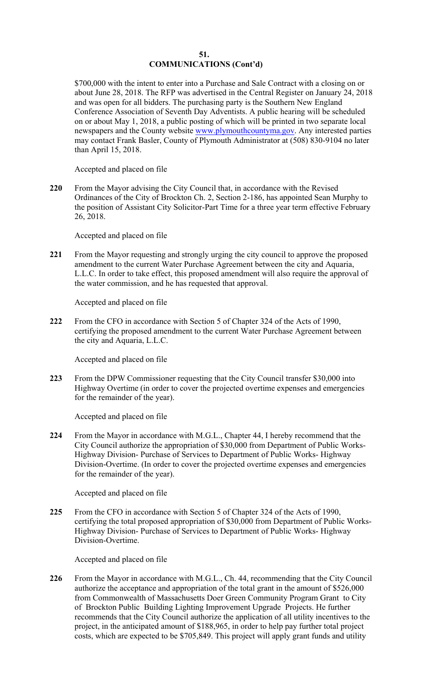### **51. COMMUNICATIONS (Cont'd)**

\$700,000 with the intent to enter into a Purchase and Sale Contract with a closing on or about June 28, 2018. The RFP was advertised in the Central Register on January 24, 2018 and was open for all bidders. The purchasing party is the Southern New England Conference Association of Seventh Day Adventists. A public hearing will be scheduled on or about May 1, 2018, a public posting of which will be printed in two separate local newspapers and the County website <www.plymouthcountyma.gov>. Any interested parties may contact Frank Basler, County of Plymouth Administrator at (508) 830-9104 no later than April 15, 2018.

Accepted and placed on file

**220** From the Mayor advising the City Council that, in accordance with the Revised Ordinances of the City of Brockton Ch. 2, Section 2-186, has appointed Sean Murphy to the position of Assistant City Solicitor-Part Time for a three year term effective February 26, 2018.

Accepted and placed on file

**221** From the Mayor requesting and strongly urging the city council to approve the proposed amendment to the current Water Purchase Agreement between the city and Aquaria, L.L.C. In order to take effect, this proposed amendment will also require the approval of the water commission, and he has requested that approval.

Accepted and placed on file

**222** From the CFO in accordance with Section 5 of Chapter 324 of the Acts of 1990, certifying the proposed amendment to the current Water Purchase Agreement between the city and Aquaria, L.L.C.

Accepted and placed on file

**223** From the DPW Commissioner requesting that the City Council transfer \$30,000 into Highway Overtime (in order to cover the projected overtime expenses and emergencies for the remainder of the year).

Accepted and placed on file

**224** From the Mayor in accordance with M.G.L., Chapter 44, I hereby recommend that the City Council authorize the appropriation of \$30,000 from Department of Public Works-Highway Division- Purchase of Services to Department of Public Works- Highway Division-Overtime. (In order to cover the projected overtime expenses and emergencies for the remainder of the year).

Accepted and placed on file

**225** From the CFO in accordance with Section 5 of Chapter 324 of the Acts of 1990, certifying the total proposed appropriation of \$30,000 from Department of Public Works-Highway Division- Purchase of Services to Department of Public Works- Highway Division-Overtime.

Accepted and placed on file

**226** From the Mayor in accordance with M.G.L., Ch. 44, recommending that the City Council authorize the acceptance and appropriation of the total grant in the amount of \$526,000 from Commonwealth of Massachusetts Doer Green Community Program Grant to City of Brockton Public Building Lighting Improvement Upgrade Projects. He further recommends that the City Council authorize the application of all utility incentives to the project, in the anticipated amount of \$188,965, in order to help pay further total project costs, which are expected to be \$705,849. This project will apply grant funds and utility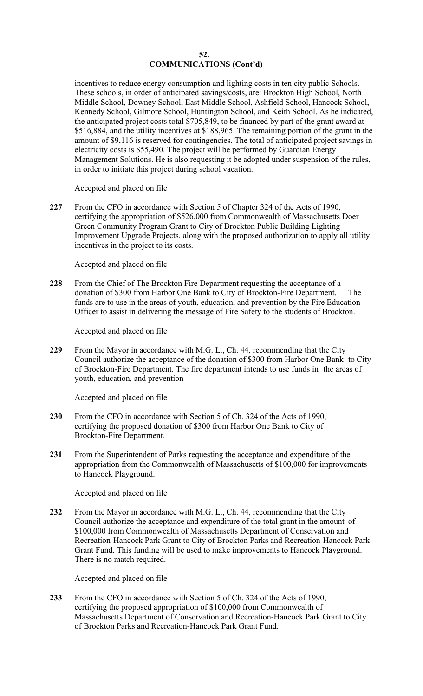### **52. COMMUNICATIONS (Cont'd)**

incentives to reduce energy consumption and lighting costs in ten city public Schools. These schools, in order of anticipated savings/costs, are: Brockton High School, North Middle School, Downey School, East Middle School, Ashfield School, Hancock School, Kennedy School, Gilmore School, Huntington School, and Keith School. As he indicated, the anticipated project costs total \$705,849, to be financed by part of the grant award at \$516,884, and the utility incentives at \$188,965. The remaining portion of the grant in the amount of \$9,116 is reserved for contingencies. The total of anticipated project savings in electricity costs is \$55,490. The project will be performed by Guardian Energy Management Solutions. He is also requesting it be adopted under suspension of the rules, in order to initiate this project during school vacation.

Accepted and placed on file

**227** From the CFO in accordance with Section 5 of Chapter 324 of the Acts of 1990, certifying the appropriation of \$526,000 from Commonwealth of Massachusetts Doer Green Community Program Grant to City of Brockton Public Building Lighting Improvement Upgrade Projects, along with the proposed authorization to apply all utility incentives in the project to its costs.

Accepted and placed on file

**228** From the Chief of The Brockton Fire Department requesting the acceptance of a donation of \$300 from Harbor One Bank to City of Brockton-Fire Department. The funds are to use in the areas of youth, education, and prevention by the Fire Education Officer to assist in delivering the message of Fire Safety to the students of Brockton.

Accepted and placed on file

**229** From the Mayor in accordance with M.G. L., Ch. 44, recommending that the City Council authorize the acceptance of the donation of \$300 from Harbor One Bank to City of Brockton-Fire Department. The fire department intends to use funds in the areas of youth, education, and prevention

Accepted and placed on file

- **230** From the CFO in accordance with Section 5 of Ch. 324 of the Acts of 1990, certifying the proposed donation of \$300 from Harbor One Bank to City of Brockton-Fire Department.
- **231** From the Superintendent of Parks requesting the acceptance and expenditure of the appropriation from the Commonwealth of Massachusetts of \$100,000 for improvements to Hancock Playground.

Accepted and placed on file

**232** From the Mayor in accordance with M.G. L., Ch. 44, recommending that the City Council authorize the acceptance and expenditure of the total grant in the amount of \$100,000 from Commonwealth of Massachusetts Department of Conservation and Recreation-Hancock Park Grant to City of Brockton Parks and Recreation-Hancock Park Grant Fund. This funding will be used to make improvements to Hancock Playground. There is no match required.

Accepted and placed on file

**233** From the CFO in accordance with Section 5 of Ch. 324 of the Acts of 1990, certifying the proposed appropriation of \$100,000 from Commonwealth of Massachusetts Department of Conservation and Recreation-Hancock Park Grant to City of Brockton Parks and Recreation-Hancock Park Grant Fund.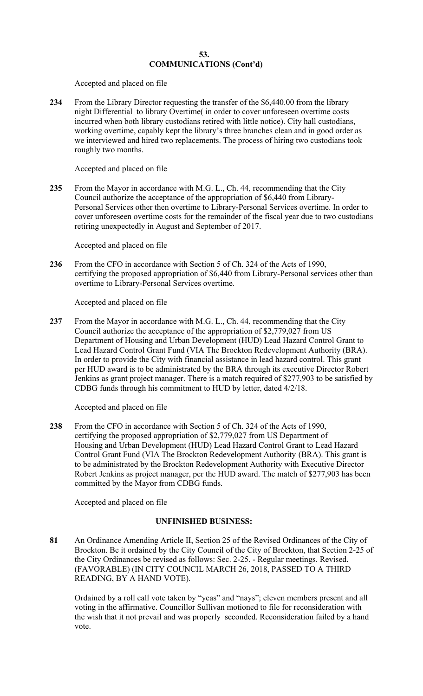### **53. COMMUNICATIONS (Cont'd)**

Accepted and placed on file

**234** From the Library Director requesting the transfer of the \$[6,440.00](https://6,440.00) from the library night Differential to library Overtime( in order to cover unforeseen overtime costs incurred when both library custodians retired with little notice). City hall custodians, working overtime, capably kept the library's three branches clean and in good order as we interviewed and hired two replacements. The process of hiring two custodians took roughly two months.

Accepted and placed on file

**235** From the Mayor in accordance with M.G. L., Ch. 44, recommending that the City Council authorize the acceptance of the appropriation of \$6,440 from Library-Personal Services other then overtime to Library-Personal Services overtime. In order to cover unforeseen overtime costs for the remainder of the fiscal year due to two custodians retiring unexpectedly in August and September of 2017.

Accepted and placed on file

**236** From the CFO in accordance with Section 5 of Ch. 324 of the Acts of 1990, certifying the proposed appropriation of \$6,440 from Library-Personal services other than overtime to Library-Personal Services overtime.

Accepted and placed on file

**237** From the Mayor in accordance with M.G. L., Ch. 44, recommending that the City Council authorize the acceptance of the appropriation of \$2,779,027 from US Department of Housing and Urban Development (HUD) Lead Hazard Control Grant to Lead Hazard Control Grant Fund (VIA The Brockton Redevelopment Authority (BRA). In order to provide the City with financial assistance in lead hazard control. This grant per HUD award is to be administrated by the BRA through its executive Director Robert Jenkins as grant project manager. There is a match required of \$277,903 to be satisfied by CDBG funds through his commitment to HUD by letter, dated 4/2/18.

Accepted and placed on file

**238** From the CFO in accordance with Section 5 of Ch. 324 of the Acts of 1990, certifying the proposed appropriation of \$2,779,027 from US Department of Housing and Urban Development (HUD) Lead Hazard Control Grant to Lead Hazard Control Grant Fund (VIA The Brockton Redevelopment Authority (BRA). This grant is to be administrated by the Brockton Redevelopment Authority with Executive Director Robert Jenkins as project manager, per the HUD award. The match of \$277,903 has been committed by the Mayor from CDBG funds.

Accepted and placed on file

# **UNFINISHED BUSINESS:**

**81** An Ordinance Amending Article II, Section 25 of the Revised Ordinances of the City of Brockton. Be it ordained by the City Council of the City of Brockton, that Section 2-25 of the City Ordinances be revised as follows: Sec. 2-25. - Regular meetings. Revised. (FAVORABLE) (IN CITY COUNCIL MARCH 26, 2018, PASSED TO A THIRD READING, BY A HAND VOTE).

Ordained by a roll call vote taken by "yeas" and "nays"; eleven members present and all voting in the affirmative. Councillor Sullivan motioned to file for reconsideration with the wish that it not prevail and was properly seconded. Reconsideration failed by a hand vote.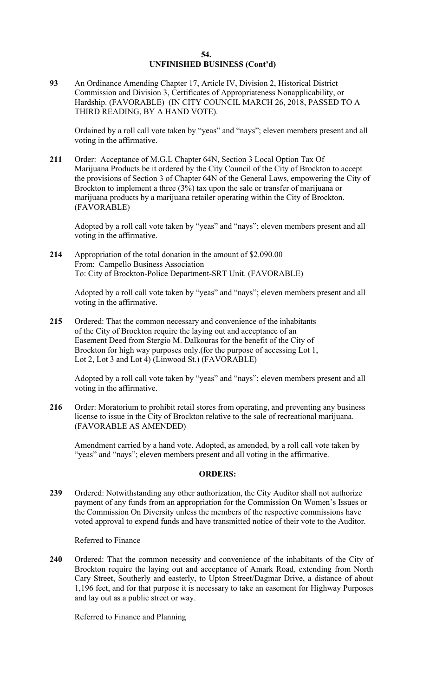# **54. UNFINISHED BUSINESS (Cont'd)**

**93** An Ordinance Amending Chapter 17, Article IV, Division 2, Historical District Commission and Division 3, Certificates of Appropriateness Nonapplicability, or Hardship. (FAVORABLE) (IN CITY COUNCIL MARCH 26, 2018, PASSED TO A THIRD READING, BY A HAND VOTE).

 voting in the affirmative. Ordained by a roll call vote taken by "yeas" and "nays"; eleven members present and all

**211** Order: Acceptance of M.G.L Chapter 64N, Section 3 Local Option Tax Of Marijuana Products be it ordered by the City Council of the City of Brockton to accept the provisions of Section 3 of Chapter 64N of the General Laws, empowering the City of Brockton to implement a three (3%) tax upon the sale or transfer of marijuana or marijuana products by a marijuana retailer operating within the City of Brockton. (FAVORABLE)

 voting in the affirmative. Adopted by a roll call vote taken by "yeas" and "nays"; eleven members present and all

**214** Appropriation of the total donation in the amount of [\\$2.090.00](https://2.090.00) From: Campello Business Association To: City of Brockton-Police Department-SRT Unit. (FAVORABLE)

 voting in the affirmative. Adopted by a roll call vote taken by "yeas" and "nays"; eleven members present and all

**215** Ordered: That the common necessary and convenience of the inhabitants of the City of Brockton require the laying out and acceptance of an Easement Deed from Stergio M. Dalkouras for the benefit of the City of Brockton for high way purposes only.(for the purpose of accessing Lot 1, Lot 2, Lot 3 and Lot 4) (Linwood St.) (FAVORABLE)

 voting in the affirmative. Adopted by a roll call vote taken by "yeas" and "nays"; eleven members present and all

**216** Order: Moratorium to prohibit retail stores from operating, and preventing any business license to issue in the City of Brockton relative to the sale of recreational marijuana. (FAVORABLE AS AMENDED)

Amendment carried by a hand vote. Adopted, as amended, by a roll call vote taken by "yeas" and "nays"; eleven members present and all voting in the affirmative.

### **ORDERS:**

**239** Ordered: Notwithstanding any other authorization, the City Auditor shall not authorize payment of any funds from an appropriation for the Commission On Women's Issues or the Commission On Diversity unless the members of the respective commissions have voted approval to expend funds and have transmitted notice of their vote to the Auditor.

Referred to Finance

**240** Ordered: That the common necessity and convenience of the inhabitants of the City of Brockton require the laying out and acceptance of Amark Road, extending from North Cary Street, Southerly and easterly, to Upton Street/Dagmar Drive, a distance of about 1,196 feet, and for that purpose it is necessary to take an easement for Highway Purposes and lay out as a public street or way.

Referred to Finance and Planning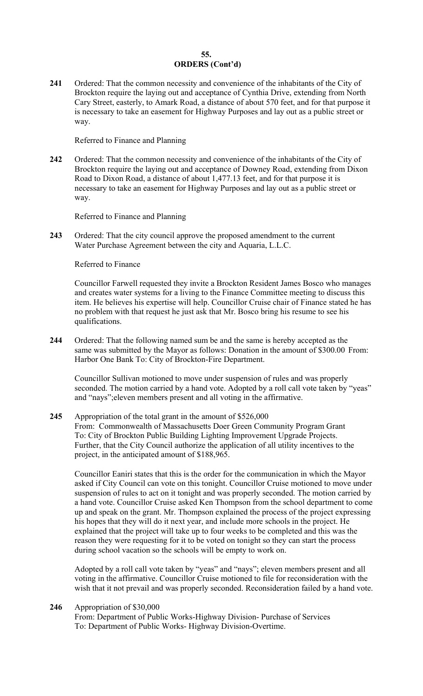# **ORDERS (Cont'd) 55.**

**241** Ordered: That the common necessity and convenience of the inhabitants of the City of Brockton require the laying out and acceptance of Cynthia Drive, extending from North Cary Street, easterly, to Amark Road, a distance of about 570 feet, and for that purpose it is necessary to take an easement for Highway Purposes and lay out as a public street or way.

Referred to Finance and Planning

242 **242** Ordered: That the common necessity and convenience of the inhabitants of the City of Brockton require the laying out and acceptance of Downey Road, extending from Dixon Road to Dixon Road, a distance of about [1,477.13](https://1,477.13) feet, and for that purpose it is necessary to take an easement for Highway Purposes and lay out as a public street or way.

Referred to Finance and Planning

**243** Ordered: That the city council approve the proposed amendment to the current Water Purchase Agreement between the city and Aquaria, L.L.C.

Referred to Finance

Councillor Farwell requested they invite a Brockton Resident James Bosco who manages and creates water systems for a living to the Finance Committee meeting to discuss this item. He believes his expertise will help. Councillor Cruise chair of Finance stated he has no problem with that request he just ask that Mr. Bosco bring his resume to see his qualifications.

**244** Ordered: That the following named sum be and the same is hereby accepted as the same was submitted by the Mayor as follows: Donation in the amount of \$300.00 From: Harbor One Bank To: City of Brockton-Fire Department.

Councillor Sullivan motioned to move under suspension of rules and was properly seconded. The motion carried by a hand vote. Adopted by a roll call vote taken by "yeas" and "nays";eleven members present and all voting in the affirmative.

### **245** Appropriation of the total grant in the amount of \$526,000

From: Commonwealth of Massachusetts Doer Green Community Program Grant To: City of Brockton Public Building Lighting Improvement Upgrade Projects. Further, that the City Council authorize the application of all utility incentives to the project, in the anticipated amount of \$188,965.

Councillor Eaniri states that this is the order for the communication in which the Mayor asked if City Council can vote on this tonight. Councillor Cruise motioned to move under suspension of rules to act on it tonight and was properly seconded. The motion carried by a hand vote. Councillor Cruise asked Ken Thompson from the school department to come up and speak on the grant. Mr. Thompson explained the process of the project expressing his hopes that they will do it next year, and include more schools in the project. He explained that the project will take up to four weeks to be completed and this was the reason they were requesting for it to be voted on tonight so they can start the process during school vacation so the schools will be empty to work on.

Adopted by a roll call vote taken by "yeas" and "nays"; eleven members present and all voting in the affirmative. Councillor Cruise motioned to file for reconsideration with the wish that it not prevail and was properly seconded. Reconsideration failed by a hand vote.

### **246** Appropriation of \$30,000

From: Department of Public Works-Highway Division- Purchase of Services To: Department of Public Works- Highway Division-Overtime.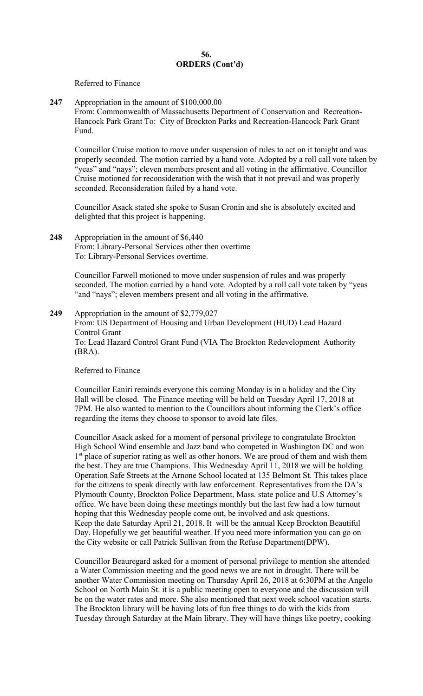Referred to Finance

**247** Appropriation in the amount of \$[100,000.00](https://100,000.00) 

From: Commonwealth of Massachusetts Department of Conservation and Recreation-Hancock Park Grant To: City of Brockton Parks and Recreation-Hancock Park Grant Fund.

Councillor Cruise motion to move under suspension of rules to act on it tonight and was properly seconded. The motion carried by a hand vote. Adopted by a roll call vote taken by "yeas" and "nays"; eleven members present and all voting in the affirmative. Councillor Cruise motioned for reconsideration with the wish that it not prevail and was properly seconded. Reconsideration failed by a hand vote.

Councillor Asack stated she spoke to Susan Cronin and she is absolutely excited and delighted that this project is happening.

 From: Library-Personal Services other then overtime To: Library-Personal Services overtime. **248** Appropriation in the amount of \$6,440

> Councillor Farwell motioned to move under suspension of rules and was properly seconded. The motion carried by a hand vote. Adopted by a roll call vote taken by "yeas "and "nays"; eleven members present and all voting in the affirmative.

**249** Appropriation in the amount of \$2,779,027 From: US Department of Housing and Urban Development (HUD) Lead Hazard Control Grant To: Lead Hazard Control Grant Fund (VIA The Brockton Redevelopment Authority (BRA).

Referred to Finance

Councillor Eaniri reminds everyone this coming Monday is in a holiday and the City Hall will be closed. The Finance meeting will be held on Tuesday April 17, 2018 at 7PM. He also wanted to mention to the Councillors about informing the Clerk's office regarding the items they choose to sponsor to avoid late files.

Councillor Asack asked for a moment of personal privilege to congratulate Brockton High School Wind ensemble and Jazz band who competed in Washington DC and won 1<sup>st</sup> place of superior rating as well as other honors. We are proud of them and wish them the best. They are true Champions. This Wednesday April 11, 2018 we will be holding Operation Safe Streets at the Arnone School located at 135 Belmont St. This takes place for the citizens to speak directly with law enforcement. Representatives from the DA's Plymouth County, Brockton Police Department, Mass. state police and U.S Attorney's office. We have been doing these meetings monthly but the last few had a low turnout hoping that this Wednesday people come out, be involved and ask questions. Keep the date Saturday April 21, 2018. It will be the annual Keep Brockton Beautiful Day. Hopefully we get beautiful weather. If you need more information you can go on the City website or call Patrick Sullivan from the Refuse Department(DPW).

The Brockton library will be having lots of fun free things to do with the kids from Councillor Beauregard asked for a moment of personal privilege to mention she attended a Water Commission meeting and the good news we are not in drought. There will be another Water Commission meeting on Thursday April 26, 2018 at 6:30PM at the Angelo School on North Main St. it is a public meeting open to everyone and the discussion will be on the water rates and more. She also mentioned that next week school vacation starts. Tuesday through Saturday at the Main library. They will have things like poetry, cooking